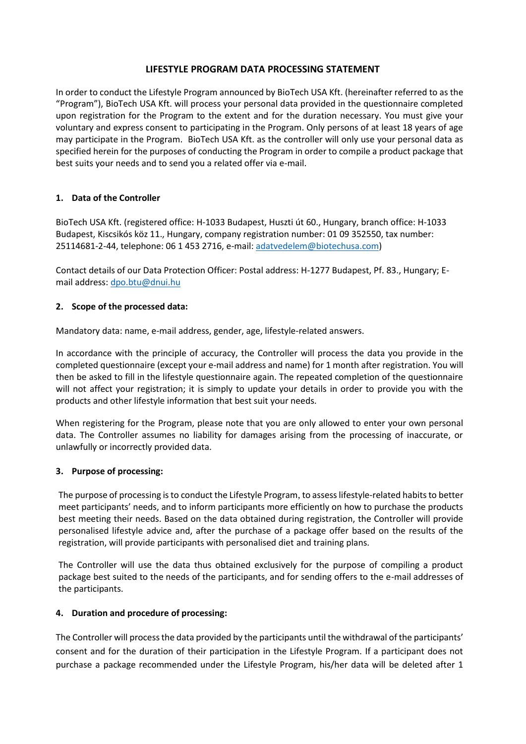#### **LIFESTYLE PROGRAM DATA PROCESSING STATEMENT**

In order to conduct the Lifestyle Program announced by BioTech USA Kft. (hereinafter referred to as the "Program"), BioTech USA Kft. will process your personal data provided in the questionnaire completed upon registration for the Program to the extent and for the duration necessary. You must give your voluntary and express consent to participating in the Program. Only persons of at least 18 years of age may participate in the Program. BioTech USA Kft. as the controller will only use your personal data as specified herein for the purposes of conducting the Program in order to compile a product package that best suits your needs and to send you a related offer via e-mail.

### **1. Data of the Controller**

BioTech USA Kft. (registered office: H-1033 Budapest, Huszti út 60., Hungary, branch office: H-1033 Budapest, Kiscsikós köz 11., Hungary, company registration number: 01 09 352550, tax number: 25114681-2-44, telephone: 06 1 453 2716, e-mail: [adatvedelem@biotechusa.com\)](mailto:adatvedelem@biotechusa.com)

Contact details of our Data Protection Officer: Postal address: H-1277 Budapest, Pf. 83., Hungary; Email address: [dpo.btu@dnui.hu](mailto:office@dnui.hu)

#### **2. Scope of the processed data:**

Mandatory data: name, e-mail address, gender, age, lifestyle-related answers.

In accordance with the principle of accuracy, the Controller will process the data you provide in the completed questionnaire (except your e-mail address and name) for 1 month after registration. You will then be asked to fill in the lifestyle questionnaire again. The repeated completion of the questionnaire will not affect your registration; it is simply to update your details in order to provide you with the products and other lifestyle information that best suit your needs.

When registering for the Program, please note that you are only allowed to enter your own personal data. The Controller assumes no liability for damages arising from the processing of inaccurate, or unlawfully or incorrectly provided data.

#### **3. Purpose of processing:**

The purpose of processing is to conduct the Lifestyle Program, to assess lifestyle-related habits to better meet participants' needs, and to inform participants more efficiently on how to purchase the products best meeting their needs. Based on the data obtained during registration, the Controller will provide personalised lifestyle advice and, after the purchase of a package offer based on the results of the registration, will provide participants with personalised diet and training plans.

The Controller will use the data thus obtained exclusively for the purpose of compiling a product package best suited to the needs of the participants, and for sending offers to the e-mail addresses of the participants.

#### **4. Duration and procedure of processing:**

The Controller will process the data provided by the participants until the withdrawal of the participants' consent and for the duration of their participation in the Lifestyle Program. If a participant does not purchase a package recommended under the Lifestyle Program, his/her data will be deleted after 1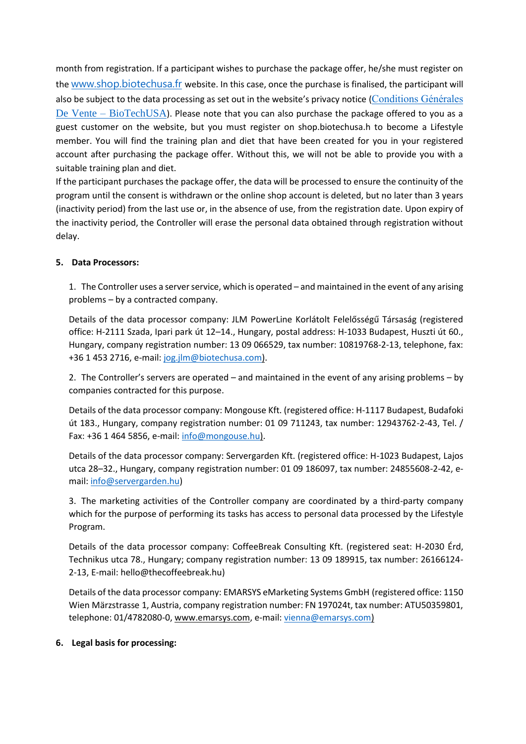month from registration. If a participant wishes to purchase the package offer, he/she must register on the [www.shop.biotechusa.fr](http://www.shop.biotechusa.fr/) website. In this case, once the purchase is finalised, the participant will also be subject to the data processing as set out in the website's privacy notice ([Conditions Générales](https://shop.biotechusa.fr/pages/conditions_generale_de_vente)  De Vente – [BioTechUSA](https://shop.biotechusa.fr/pages/conditions_generale_de_vente)). Please note that you can also purchase the package offered to you as a guest customer on the website, but you must register on shop.biotechusa.h to become a Lifestyle member. You will find the training plan and diet that have been created for you in your registered account after purchasing the package offer. Without this, we will not be able to provide you with a suitable training plan and diet.

If the participant purchases the package offer, the data will be processed to ensure the continuity of the program until the consent is withdrawn or the online shop account is deleted, but no later than 3 years (inactivity period) from the last use or, in the absence of use, from the registration date. Upon expiry of the inactivity period, the Controller will erase the personal data obtained through registration without delay.

### **5. Data Processors:**

1. The Controller uses a server service, which is operated – and maintained in the event of any arising problems – by a contracted company.

Details of the data processor company: JLM PowerLine Korlátolt Felelősségű Társaság (registered office: H-2111 Szada, Ipari park út 12–14., Hungary, postal address: H-1033 Budapest, Huszti út 60., Hungary, company registration number: 13 09 066529, tax number: 10819768-2-13, telephone, fax: +36 1 453 2716, e-mail: [jog.jlm@biotechusa.com\)](mailto:jog.jlm@biotechusa.com).

2. The Controller's servers are operated – and maintained in the event of any arising problems – by companies contracted for this purpose.

Details of the data processor company: Mongouse Kft. (registered office: H-1117 Budapest, Budafoki út 183., Hungary, company registration number: 01 09 711243, tax number: 12943762-2-43, Tel. / Fax: +36 1 464 5856, e-mail: [info@mongouse.hu\)](mailto:info@mongouse.hu).

Details of the data processor company: Servergarden Kft. (registered office: H-1023 Budapest, Lajos utca 28–32., Hungary, company registration number: 01 09 186097, tax number: 24855608-2-42, email[: info@servergarden.hu\)](mailto:info@mongouse.hu)

3. The marketing activities of the Controller company are coordinated by a third-party company which for the purpose of performing its tasks has access to personal data processed by the Lifestyle Program.

Details of the data processor company: CoffeeBreak Consulting Kft. (registered seat: H-2030 Érd, Technikus utca 78., Hungary; company registration number: 13 09 189915, tax number: 26166124- 2-13, E-mail[: hello@thecoffeebreak.hu\)](mailto:hello@thecoffeebreak.hu)

Details of the data processor company: EMARSYS eMarketing Systems GmbH (registered office: 1150 Wien Märzstrasse 1, Austria, company registration number: FN 197024t, tax number: ATU50359801, telephone: 01/4782080-0, [www.emarsys.com,](http://www.emarsys.com/) e-mail: [vienna@emarsys.com\)](mailto:vienna@emarsys.com)

#### **6. Legal basis for processing:**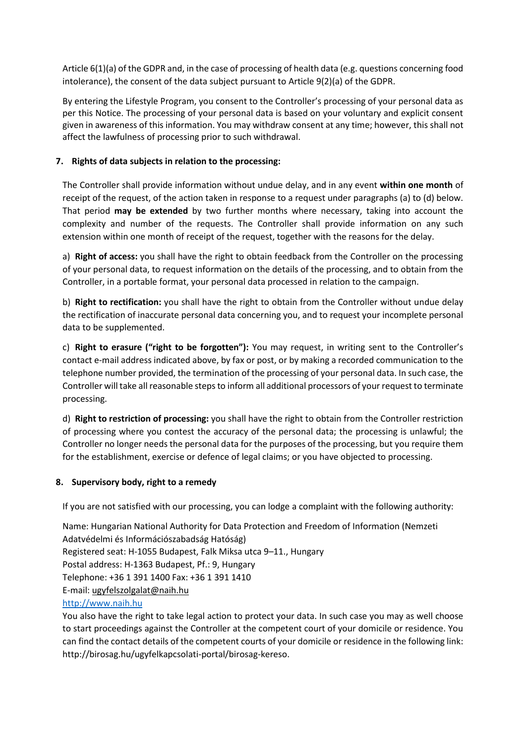Article 6(1)(a) of the GDPR and, in the case of processing of health data (e.g. questions concerning food intolerance), the consent of the data subject pursuant to Article 9(2)(a) of the GDPR.

By entering the Lifestyle Program, you consent to the Controller's processing of your personal data as per this Notice. The processing of your personal data is based on your voluntary and explicit consent given in awareness of this information. You may withdraw consent at any time; however, this shall not affect the lawfulness of processing prior to such withdrawal.

# **7. Rights of data subjects in relation to the processing:**

The Controller shall provide information without undue delay, and in any event **within one month** of receipt of the request, of the action taken in response to a request under paragraphs (a) to (d) below. That period **may be extended** by two further months where necessary, taking into account the complexity and number of the requests. The Controller shall provide information on any such extension within one month of receipt of the request, together with the reasons for the delay.

a) **Right of access:** you shall have the right to obtain feedback from the Controller on the processing of your personal data, to request information on the details of the processing, and to obtain from the Controller, in a portable format, your personal data processed in relation to the campaign.

b) **Right to rectification:** you shall have the right to obtain from the Controller without undue delay the rectification of inaccurate personal data concerning you, and to request your incomplete personal data to be supplemented.

c) **Right to erasure ("right to be forgotten"):** You may request, in writing sent to the Controller's contact e-mail address indicated above, by fax or post, or by making a recorded communication to the telephone number provided, the termination of the processing of your personal data. In such case, the Controller will take all reasonable steps to inform all additional processors of your request to terminate processing.

d) **Right to restriction of processing:** you shall have the right to obtain from the Controller restriction of processing where you contest the accuracy of the personal data; the processing is unlawful; the Controller no longer needs the personal data for the purposes of the processing, but you require them for the establishment, exercise or defence of legal claims; or you have objected to processing.

### **8. Supervisory body, right to a remedy**

If you are not satisfied with our processing, you can lodge a complaint with the following authority:

Name: Hungarian National Authority for Data Protection and Freedom of Information (Nemzeti Adatvédelmi és Információszabadság Hatóság) Registered seat: H-1055 Budapest, Falk Miksa utca 9–11., Hungary Postal address: H-1363 Budapest, Pf.: 9, Hungary Telephone: +36 1 391 1400 Fax: +36 1 391 1410 E-mail: ugyfelszolgalat@naih.hu [http://www.naih.hu](http://www.naih.hu/)

You also have the right to take legal action to protect your data. In such case you may as well choose to start proceedings against the Controller at the competent court of your domicile or residence. You can find the contact details of the competent courts of your domicile or residence in the following link: http://birosag.hu/ugyfelkapcsolati-portal/birosag-kereso.